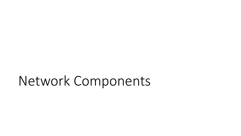# Network Components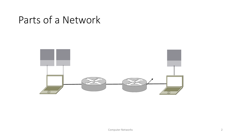#### Parts of a Network

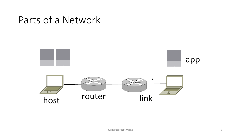#### Parts of a Network

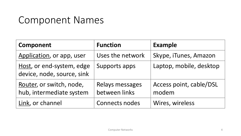#### Component Names

| <b>Component</b>                                        | <b>Function</b>                  | <b>Example</b>                   |
|---------------------------------------------------------|----------------------------------|----------------------------------|
| Application, or app, user                               | Uses the network                 | Skype, iTunes, Amazon            |
| Host, or end-system, edge<br>device, node, source, sink | Supports apps                    | Laptop, mobile, desktop          |
| Router, or switch, node,<br>hub, intermediate system    | Relays messages<br>between links | Access point, cable/DSL<br>modem |
| Link, or channel                                        | <b>Connects nodes</b>            | Wires, wireless                  |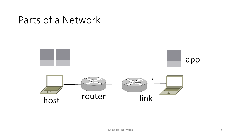#### Parts of a Network

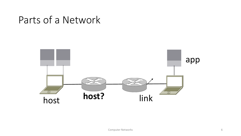#### Parts of a Network

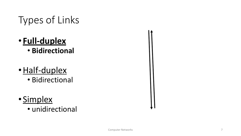# Types of Links

- **Full-duplex** • **Bidirectional**
- · Half-duplex
	- Bidirectional
- Simplex
	- unidirectional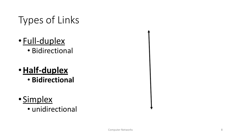# Types of Links

- Full-duplex • Bidirectional
- •**Half-duplex**
	- **Bidirectional**
- Simplex
	- unidirectional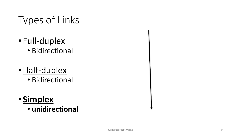# Types of Links

- Full-duplex • Bidirectional
- 
- · Half-duplex
	- Bidirectional

#### • **Simplex**

• **unidirectional**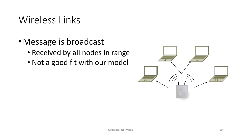#### Wireless Links

- Message is broadcast
	- Received by all nodes in range
	- Not a good fit with our model

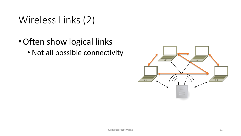# Wireless Links (2)

•Often show logical links • Not all possible connectivity

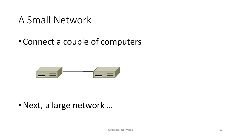#### A Small Network

#### •Connect a couple of computers



•Next, a large network …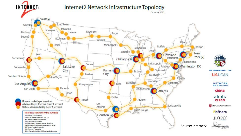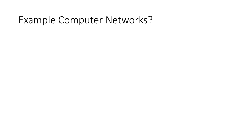#### Example Computer Networks?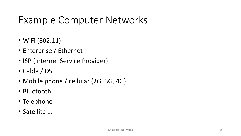# Example Computer Networks

- WiFi (802.11)
- Enterprise / Ethernet
- ISP (Internet Service Provider)
- Cable / DSL
- Mobile phone / cellular (2G, 3G, 4G)
- Bluetooth
- Telephone
- Satellite ...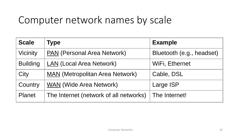### Computer network names by scale

| <b>Scale</b>    | Type                                   | <b>Example</b>            |
|-----------------|----------------------------------------|---------------------------|
| Vicinity        | <b>PAN</b> (Personal Area Network)     | Bluetooth (e.g., headset) |
| <b>Building</b> | <b>LAN (Local Area Network)</b>        | WiFi, Ethernet            |
| City            | <b>MAN</b> (Metropolitan Area Network) | Cable, DSL                |
| Country         | <b>WAN</b> (Wide Area Network)         | Large ISP                 |
| <b>Planet</b>   | The Internet (network of all networks) | The Internet!             |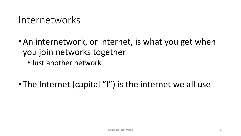#### Internetworks

• An internetwork, or internet, is what you get when you join networks together

• Just another network

• The Internet (capital "I") is the internet we all use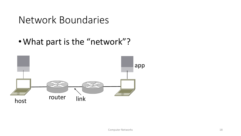#### Network Boundaries

•What part is the "network"?

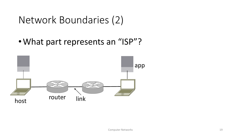#### Network Boundaries (2)

•What part represents an "ISP"?

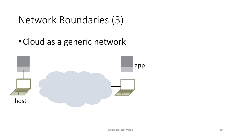#### Network Boundaries (3)

•Cloud as a generic network

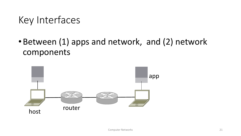### Key Interfaces

•Between (1) apps and network, and (2) network components

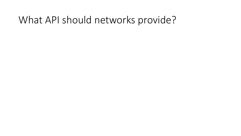#### What API should networks provide?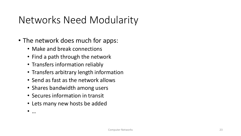# Networks Need Modularity

- The network does much for apps:
	- Make and break connections
	- Find a path through the network
	- Transfers information reliably
	- Transfers arbitrary length information
	- Send as fast as the network allows
	- Shares bandwidth among users
	- Secures information in transit
	- Lets many new hosts be added

• …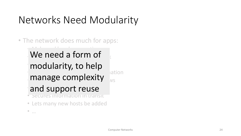# Networks Need Modularity

• The network does much for apps:

 $\mathbf{r}$  $\bullet$  We need a form of modularity, to help • Transfers arbitrary length information  $\sum_{N\in\mathbb{Z}}$  manage complexity  $\sum_{N\in\mathbb{Z}}$ and support reuse

• Lets many new hosts be added

 $\bullet$  . . . .

• Secures information in transit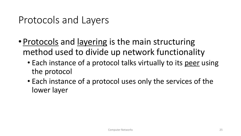### Protocols and Layers

- Protocols and layering is the main structuring method used to divide up network functionality
	- Each instance of a protocol talks virtually to its peer using the protocol
	- Each instance of a protocol uses only the services of the lower layer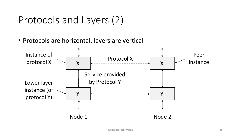## Protocols and Layers (2)

• Protocols are horizontal, layers are vertical

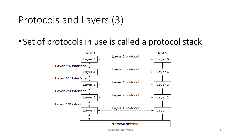#### Protocols and Layers (3)

• Set of protocols in use is called a protocol stack



Computer Networks 27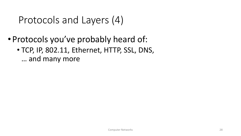# Protocols and Layers (4)

- Protocols you've probably heard of:
	- TCP, IP, 802.11, Ethernet, HTTP, SSL, DNS, … and many more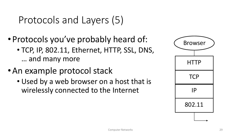# Protocols and Layers (5)

- Protocols you've probably heard of:
	- TCP, IP, 802.11, Ethernet, HTTP, SSL, DNS, … and many more
- •An example protocol stack
	- Used by a web browser on a host that is wirelessly connected to the Internet

| <b>Browser</b> |
|----------------|
| <b>HTTP</b>    |
| <b>TCP</b>     |
| IP             |
| 802.11         |
|                |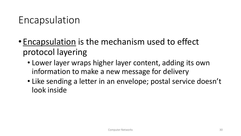### Encapsulation

- Encapsulation is the mechanism used to effect protocol layering
	- Lower layer wraps higher layer content, adding its own information to make a new message for delivery
	- Like sending a letter in an envelope; postal service doesn't look inside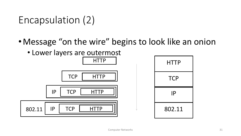Encapsulation (2)

- •Message "on the wire" begins to look like an onion
	- Lower layers are outermost



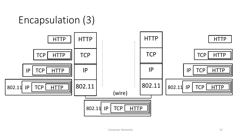# Encapsulation (3)

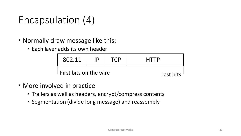# Encapsulation (4)

- Normally draw message like this:
	- Each layer adds its own header

| 802.11                         | IP. | <b>TCP</b> | <b>HTTP</b> |
|--------------------------------|-----|------------|-------------|
| $\perp$ First bits on the wire |     | Last bits  |             |

- More involved in practice
	- Trailers as well as headers, encrypt/compress contents
	- Segmentation (divide long message) and reassembly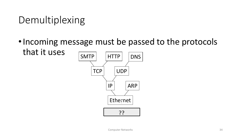# Demultiplexing

• Incoming message must be passed to the protocols that it uses

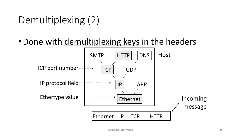# Demultiplexing (2)

• Done with demultiplexing keys in the headers

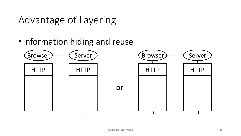### Advantage of Layering

#### •Information hiding and reuse

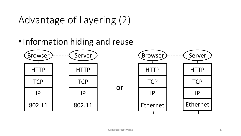# Advantage of Layering (2)

#### •Information hiding and reuse

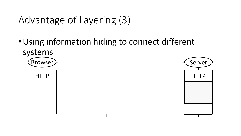```
Advantage of Layering (3)
```
•Using information hiding to connect different systems

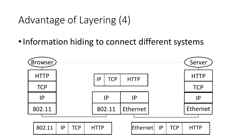### Advantage of Layering (4)

• Information hiding to connect different systems

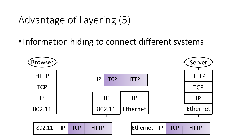### Advantage of Layering (5)

• Information hiding to connect different systems

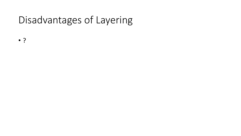# Disadvantages of Layering

- ?
- - -
		-
		-
		- -
- - -
- 
- -
	-
- - -
- 
- -
	-
	-
	-
- 
- -
	-
	- - - -
				- -
					-
					-
				-
		-
	-
- -
- 
- -
- 
- 
- 
- 
- 
- 
- 
- 
- 
- 
- 
- 
- 
- 
- 
- 
- 
- 
- 
- 
- 
- 
- 
- 
-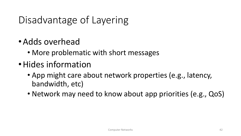# Disadvantage of Layering

- •Adds overhead
	- More problematic with short messages
- •Hides information
	- App might care about network properties (e.g., latency, bandwidth, etc)
	- Network may need to know about app priorities (e.g., QoS)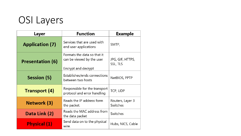## OSI Layers

| Layer                   | <b>Function</b>                                                                 | <b>Example</b>               |
|-------------------------|---------------------------------------------------------------------------------|------------------------------|
| <b>Application (7)</b>  | Services that are used with<br>end user applications                            | SMTP,                        |
| <b>Presentation (6)</b> | Formats the data so that it<br>can be viewed by the user<br>Encrypt and decrypt | JPG, GIF, HTTPS,<br>SSL, TLS |
| Session (5)             | Establishes/ends connections<br>between two hosts                               | NetBIOS, PPTP                |
| <b>Transport (4)</b>    | Responsible for the transport<br>protocol and error handling                    | TCP, UDP                     |
| Network (3)             | Reads the IP address form<br>the packet.                                        | Routers, Layer 3<br>Switches |
| Data Link (2)           | Reads the MAC address from<br>the data packet                                   | Switches                     |
| <b>Physical (1)</b>     | Send data on to the physical<br>wire.                                           | Hubs, NICS, Cable            |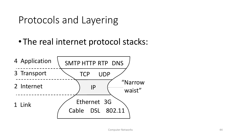### Protocols and Layering

• The real internet protocol stacks:

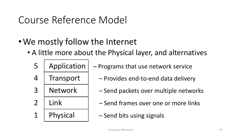### Course Reference Model

- •We mostly follow the Internet
	- A little more about the Physical layer, and alternatives
		-
		- $5$  | Application | Programs that use network service
		- $4$  | Transport |  $-$  Provides end-to-end data delivery
		- 3 | Network | Send packets over multiple networks
		- 2 | Link Send frames over one or more links
		- 1 | Physical  $\vert$  Send bits using signals